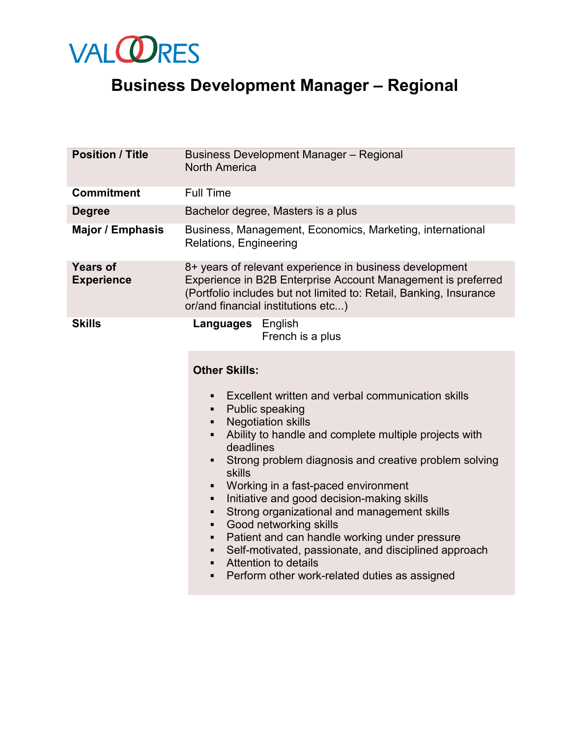

## **Business Development Manager – Regional**

| <b>Position / Title</b>              | <b>Business Development Manager - Regional</b><br><b>North America</b>                                                                                                                                                                                                                                                                                                                                                                                                                                      |
|--------------------------------------|-------------------------------------------------------------------------------------------------------------------------------------------------------------------------------------------------------------------------------------------------------------------------------------------------------------------------------------------------------------------------------------------------------------------------------------------------------------------------------------------------------------|
| <b>Commitment</b>                    | <b>Full Time</b>                                                                                                                                                                                                                                                                                                                                                                                                                                                                                            |
| <b>Degree</b>                        | Bachelor degree, Masters is a plus                                                                                                                                                                                                                                                                                                                                                                                                                                                                          |
| <b>Major / Emphasis</b>              | Business, Management, Economics, Marketing, international<br>Relations, Engineering                                                                                                                                                                                                                                                                                                                                                                                                                         |
| <b>Years of</b><br><b>Experience</b> | 8+ years of relevant experience in business development<br>Experience in B2B Enterprise Account Management is preferred<br>(Portfolio includes but not limited to: Retail, Banking, Insurance<br>or/and financial institutions etc)                                                                                                                                                                                                                                                                         |
| <b>Skills</b>                        | <b>Languages</b> English<br>French is a plus                                                                                                                                                                                                                                                                                                                                                                                                                                                                |
|                                      | <b>Other Skills:</b><br>Excellent written and verbal communication skills<br>$\blacksquare$<br><b>Public speaking</b><br>٠<br><b>Negotiation skills</b><br>٠<br>Ability to handle and complete multiple projects with<br>$\blacksquare$                                                                                                                                                                                                                                                                     |
|                                      | deadlines<br>Strong problem diagnosis and creative problem solving<br>$\blacksquare$<br>skills<br>Working in a fast-paced environment<br>Initiative and good decision-making skills<br>٠<br>Strong organizational and management skills<br>٠<br>Good networking skills<br>٠<br>Patient and can handle working under pressure<br>$\blacksquare$<br>Self-motivated, passionate, and disciplined approach<br>٠<br>Attention to details<br>٠<br>Perform other work-related duties as assigned<br>$\blacksquare$ |